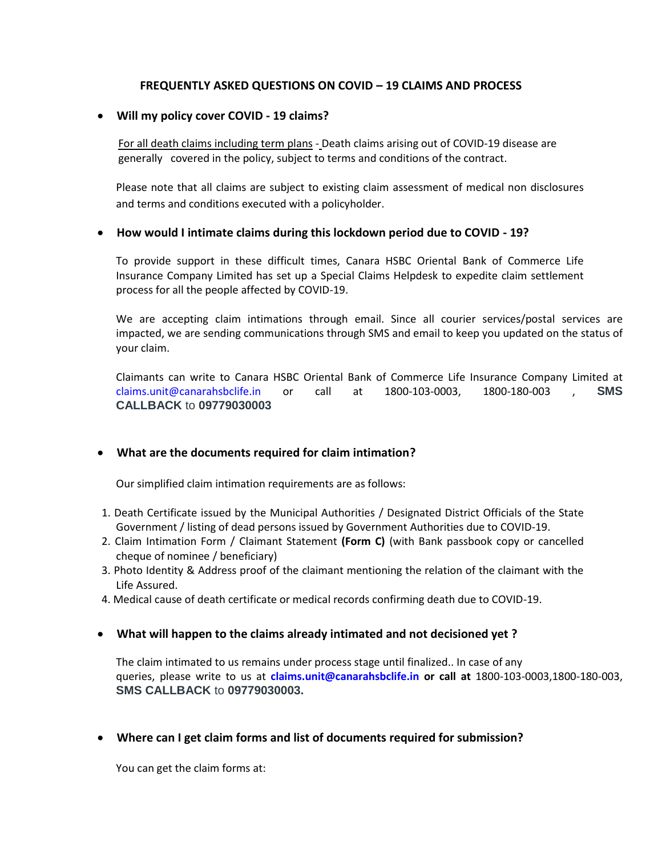# **FREQUENTLY ASKED QUESTIONS ON COVID – 19 CLAIMS AND PROCESS**

#### **Will my policy cover COVID - 19 claims?**

 For all death claims including term plans - Death claims arising out of COVID-19 disease are generally covered in the policy, subject to terms and conditions of the contract.

Please note that all claims are subject to existing claim assessment of medical non disclosures and terms and conditions executed with a policyholder.

#### **How would I intimate claims during this lockdown period due to COVID - 19?**

To provide support in these difficult times, Canara HSBC Oriental Bank of Commerce Life Insurance Company Limited has set up a Special Claims Helpdesk to expedite claim settlement process for all the people affected by COVID-19.

We are accepting claim intimations through email. Since all courier services/postal services are impacted, we are sending communications through SMS and email to keep you updated on the status of your claim.

Claimants can write to Canara HSBC Oriental Bank of Commerce Life Insurance Company Limited at claims.unit@canarahsbclife.in or call at 1800-103-0003, 1800-180-003 , **SMS CALLBACK** to **09779030003**

## **What are the documents required for claim intimation?**

Our simplified claim intimation requirements are as follows:

- 1. Death Certificate issued by the Municipal Authorities / Designated District Officials of the State Government / listing of dead persons issued by Government Authorities due to COVID-19.
- 2. Claim Intimation Form / Claimant Statement **(Form C)** (with Bank passbook copy or cancelled cheque of nominee / beneficiary)
- 3. Photo Identity & Address proof of the claimant mentioning the relation of the claimant with the Life Assured.
- 4. Medical cause of death certificate or medical records confirming death due to COVID-19.

## **What will happen to the claims already intimated and not decisioned yet ?**

The claim intimated to us remains under process stage until finalized.. In case of any queries, please write to us at **claims.unit@canarahsbclife.in or call at** 1800-103-0003,1800-180-003, **SMS CALLBACK** to **09779030003.**

## **Where can I get claim forms and list of documents required for submission?**

You can get the claim forms at: